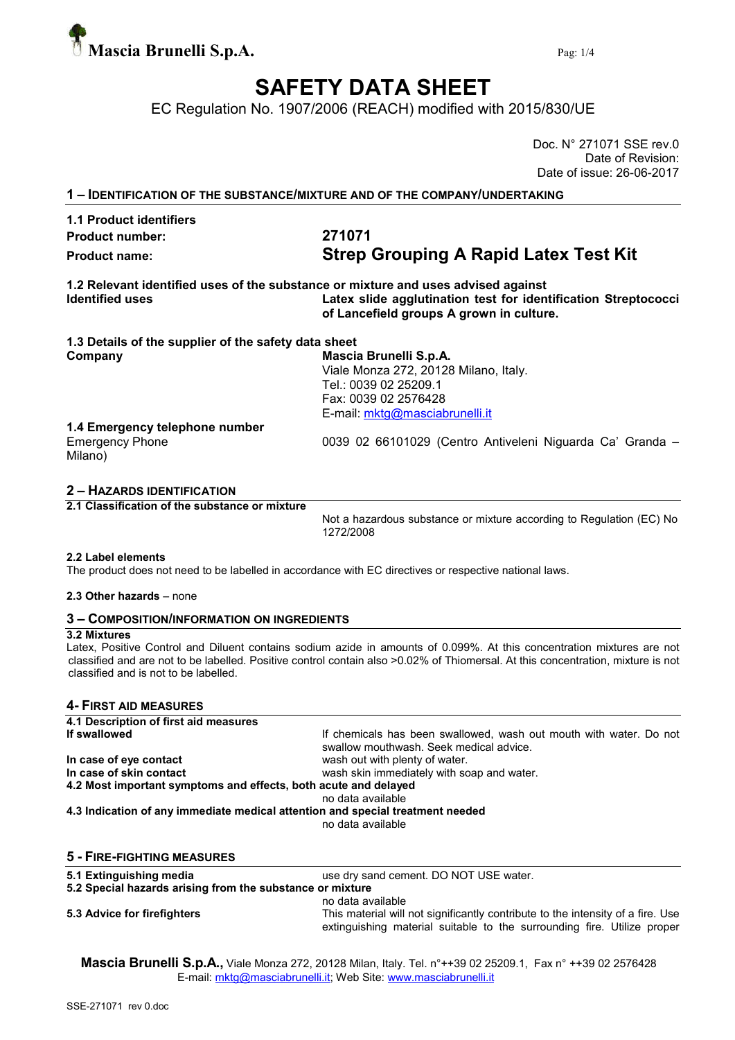

## SAFETY DATA SHEET

EC Regulation No. 1907/2006 (REACH) modified with 2015/830/UE

Doc. N° 271071 SSE rev.0 Date of Revision: Date of issue: 26-06-2017

1 – IDENTIFICATION OF THE SUBSTANCE/MIXTURE AND OF THE COMPANY/UNDERTAKING

### 1.1 Product identifiers Product number: 271071

# Product name: Strep Grouping A Rapid Latex Test Kit

1.2 Relevant identified uses of the substance or mixture and uses advised against Identified uses Latex slide agglutination test for identification Streptococci of Lancefield groups A grown in culture.

| 1.3 Details of the supplier of the safety data sheet |                                                           |
|------------------------------------------------------|-----------------------------------------------------------|
| Company                                              | Mascia Brunelli S.p.A.                                    |
|                                                      | Viale Monza 272, 20128 Milano, Italy.                     |
|                                                      | Tel.: 0039 02 25209.1                                     |
|                                                      | Fax: 0039 02 2576428                                      |
|                                                      | E-mail: mktg@masciabrunelli.it                            |
| 1.4 Emergency telephone number                       |                                                           |
| <b>Emergency Phone</b><br>Milano)                    | 0039 02 66101029 (Centro Antiveleni Niguarda Ca' Granda - |
|                                                      |                                                           |

#### 2 – HAZARDS IDENTIFICATION

2.1 Classification of the substance or mixture

Not a hazardous substance or mixture according to Regulation (EC) No 1272/2008

#### 2.2 Label elements

The product does not need to be labelled in accordance with EC directives or respective national laws.

#### 2.3 Other hazards – none

#### 3 – COMPOSITION/INFORMATION ON INGREDIENTS

#### 3.2 Mixtures

Latex, Positive Control and Diluent contains sodium azide in amounts of 0.099%. At this concentration mixtures are not classified and are not to be labelled. Positive control contain also >0.02% of Thiomersal. At this concentration, mixture is not classified and is not to be labelled.

#### 4- FIRST AID MEASURES

| 4.1 Description of first aid measures                                          |                                                                                                                                                            |  |  |  |  |  |  |
|--------------------------------------------------------------------------------|------------------------------------------------------------------------------------------------------------------------------------------------------------|--|--|--|--|--|--|
| If swallowed                                                                   | If chemicals has been swallowed, wash out mouth with water. Do not<br>swallow mouthwash. Seek medical advice.                                              |  |  |  |  |  |  |
| In case of eye contact                                                         | wash out with plenty of water.                                                                                                                             |  |  |  |  |  |  |
| In case of skin contact                                                        | wash skin immediately with soap and water.                                                                                                                 |  |  |  |  |  |  |
| 4.2 Most important symptoms and effects, both acute and delayed                |                                                                                                                                                            |  |  |  |  |  |  |
|                                                                                | no data available                                                                                                                                          |  |  |  |  |  |  |
| 4.3 Indication of any immediate medical attention and special treatment needed |                                                                                                                                                            |  |  |  |  |  |  |
|                                                                                | no data available                                                                                                                                          |  |  |  |  |  |  |
| <b>5 - FIRE-FIGHTING MEASURES</b>                                              |                                                                                                                                                            |  |  |  |  |  |  |
| 5.1 Extinguishing media                                                        | use dry sand cement. DO NOT USE water.                                                                                                                     |  |  |  |  |  |  |
| 5.2 Special hazards arising from the substance or mixture                      |                                                                                                                                                            |  |  |  |  |  |  |
|                                                                                | no data available                                                                                                                                          |  |  |  |  |  |  |
| 5.3 Advice for firefighters                                                    | This material will not significantly contribute to the intensity of a fire. Use<br>extinguishing material suitable to the surrounding fire. Utilize proper |  |  |  |  |  |  |

Mascia Brunelli S.p.A., Viale Monza 272, 20128 Milan, Italy. Tel. n°++39 02 25209.1, Fax n° ++39 02 2576428 E-mail: mktg@masciabrunelli.it; Web Site: www.masciabrunelli.it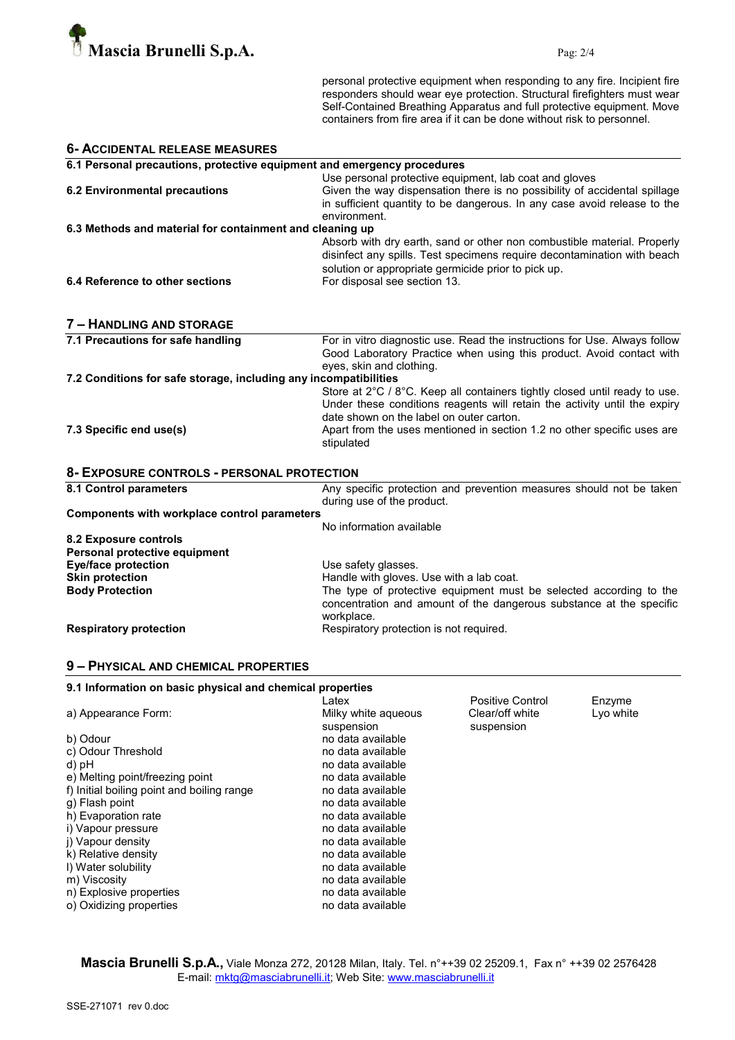

personal protective equipment when responding to any fire. Incipient fire responders should wear eye protection. Structural firefighters must wear Self-Contained Breathing Apparatus and full protective equipment. Move containers from fire area if it can be done without risk to personnel.

| <b>6- ACCIDENTAL RELEASE MEASURES</b>                                   |                                                                                                                                                                                                                                           |  |  |  |  |
|-------------------------------------------------------------------------|-------------------------------------------------------------------------------------------------------------------------------------------------------------------------------------------------------------------------------------------|--|--|--|--|
| 6.1 Personal precautions, protective equipment and emergency procedures |                                                                                                                                                                                                                                           |  |  |  |  |
| <b>6.2 Environmental precautions</b>                                    | Use personal protective equipment, lab coat and gloves<br>Given the way dispensation there is no possibility of accidental spillage<br>in sufficient quantity to be dangerous. In any case avoid release to the<br>environment.           |  |  |  |  |
| 6.3 Methods and material for containment and cleaning up                |                                                                                                                                                                                                                                           |  |  |  |  |
| 6.4 Reference to other sections                                         | Absorb with dry earth, sand or other non combustible material. Properly<br>disinfect any spills. Test specimens require decontamination with beach<br>solution or appropriate germicide prior to pick up.<br>For disposal see section 13. |  |  |  |  |
|                                                                         |                                                                                                                                                                                                                                           |  |  |  |  |
|                                                                         |                                                                                                                                                                                                                                           |  |  |  |  |
| 7 - HANDLING AND STORAGE                                                |                                                                                                                                                                                                                                           |  |  |  |  |
| 7.1 Precautions for safe handling                                       | For in vitro diagnostic use. Read the instructions for Use. Always follow                                                                                                                                                                 |  |  |  |  |
|                                                                         | Good Laboratory Practice when using this product. Avoid contact with                                                                                                                                                                      |  |  |  |  |
|                                                                         | eyes, skin and clothing.                                                                                                                                                                                                                  |  |  |  |  |
| 7.2 Conditions for safe storage, including any incompatibilities        |                                                                                                                                                                                                                                           |  |  |  |  |
|                                                                         | Store at 2°C / 8°C. Keep all containers tightly closed until ready to use.<br>Under these conditions reagents will retain the activity until the expiry                                                                                   |  |  |  |  |
|                                                                         | date shown on the label on outer carton.                                                                                                                                                                                                  |  |  |  |  |
| 7.3 Specific end use(s)                                                 | Apart from the uses mentioned in section 1.2 no other specific uses are<br>stipulated                                                                                                                                                     |  |  |  |  |
| 8- EXPOSURE CONTROLS - PERSONAL PROTECTION                              |                                                                                                                                                                                                                                           |  |  |  |  |
| 8.1 Control parameters                                                  | Any specific protection and prevention measures should not be taken<br>during use of the product.                                                                                                                                         |  |  |  |  |
| Components with workplace control parameters                            |                                                                                                                                                                                                                                           |  |  |  |  |
|                                                                         | No information available                                                                                                                                                                                                                  |  |  |  |  |
| 8.2 Exposure controls<br>Personal protective equipment                  |                                                                                                                                                                                                                                           |  |  |  |  |
| <b>Eye/face protection</b>                                              | Use safety glasses.                                                                                                                                                                                                                       |  |  |  |  |
| <b>Skin protection</b>                                                  | Handle with gloves. Use with a lab coat.                                                                                                                                                                                                  |  |  |  |  |
| <b>Body Protection</b>                                                  | The type of protective equipment must be selected according to the                                                                                                                                                                        |  |  |  |  |
|                                                                         | concentration and amount of the dangerous substance at the specific<br>workplace.                                                                                                                                                         |  |  |  |  |
| <b>Respiratory protection</b>                                           | Respiratory protection is not required.                                                                                                                                                                                                   |  |  |  |  |

#### 9 – PHYSICAL AND CHEMICAL PROPERTIES

| 9.1 Information on basic physical and chemical properties |                     |                  |           |  |  |
|-----------------------------------------------------------|---------------------|------------------|-----------|--|--|
|                                                           | Latex               | Positive Control | Enzyme    |  |  |
| a) Appearance Form:                                       | Milky white agueous | Clear/off white  | Lyo white |  |  |
|                                                           | suspension          | suspension       |           |  |  |
| b) Odour                                                  | no data available   |                  |           |  |  |
| c) Odour Threshold                                        | no data available   |                  |           |  |  |
| d) pH                                                     | no data available   |                  |           |  |  |
| e) Melting point/freezing point                           | no data available   |                  |           |  |  |
| f) Initial boiling point and boiling range                | no data available   |                  |           |  |  |
| q) Flash point                                            | no data available   |                  |           |  |  |
| h) Evaporation rate                                       | no data available   |                  |           |  |  |
| i) Vapour pressure                                        | no data available   |                  |           |  |  |
| i) Vapour density                                         | no data available   |                  |           |  |  |
| k) Relative density                                       | no data available   |                  |           |  |  |
| I) Water solubility                                       | no data available   |                  |           |  |  |
| m) Viscosity                                              | no data available   |                  |           |  |  |
| n) Explosive properties                                   | no data available   |                  |           |  |  |
| o) Oxidizing properties                                   | no data available   |                  |           |  |  |

Mascia Brunelli S.p.A., Viale Monza 272, 20128 Milan, Italy. Tel. n°++39 02 25209.1, Fax n° ++39 02 2576428 E-mail: mktg@masciabrunelli.it; Web Site: www.masciabrunelli.it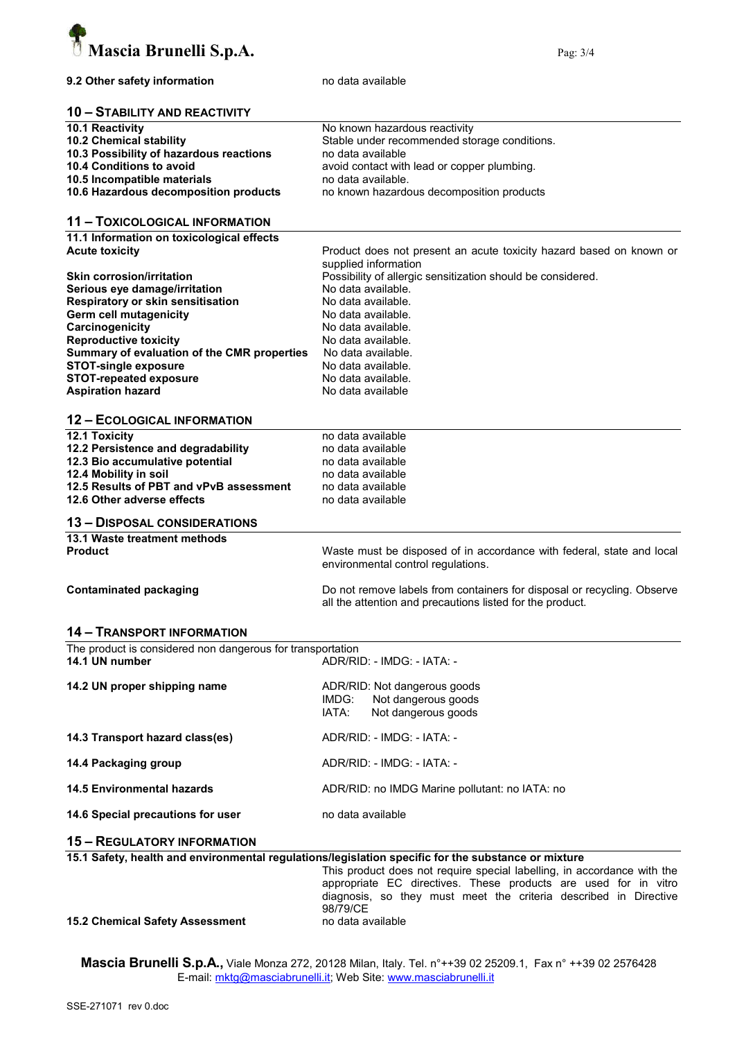

#### 9.2 Other safety information modata available

#### 10 – STABILITY AND REACTIVITY

| 10.1 Reactivity                         | No known hazardous reactivity                |
|-----------------------------------------|----------------------------------------------|
| 10.2 Chemical stability                 | Stable under recommended storage conditions. |
| 10.3 Possibility of hazardous reactions | no data available                            |
| 10.4 Conditions to avoid                | avoid contact with lead or copper plumbing.  |
| 10.5 Incompatible materials             | no data available.                           |
| 10.6 Hazardous decomposition products   | no known hazardous decomposition products    |

#### 11 – TOXICOLOGICAL INFORMATION

11.1 Information on toxicological effects<br>Acute toxicity

| <b>Acute toxicity</b>                       | Product does not present an acute toxicity hazard based on known or<br>supplied information |
|---------------------------------------------|---------------------------------------------------------------------------------------------|
| <b>Skin corrosion/irritation</b>            | Possibility of allergic sensitization should be considered.                                 |
| Serious eye damage/irritation               | No data available.                                                                          |
| Respiratory or skin sensitisation           | No data available.                                                                          |
| Germ cell mutagenicity                      | No data available.                                                                          |
| Carcinogenicity                             | No data available.                                                                          |
| <b>Reproductive toxicity</b>                | No data available.                                                                          |
| Summary of evaluation of the CMR properties | No data available.                                                                          |
| <b>STOT-single exposure</b>                 | No data available.                                                                          |
| <b>STOT-repeated exposure</b>               | No data available.                                                                          |
| <b>Aspiration hazard</b>                    | No data available                                                                           |

#### 12 – ECOLOGICAL INFORMATION

| <b>12.1 Toxicity</b>                    | no data available                                                     |
|-----------------------------------------|-----------------------------------------------------------------------|
| 12.2 Persistence and degradability      | no data available                                                     |
| 12.3 Bio accumulative potential         | no data available                                                     |
| 12.4 Mobility in soil                   | no data available                                                     |
| 12.5 Results of PBT and vPvB assessment | no data available                                                     |
| 12.6 Other adverse effects              | no data available                                                     |
| <b>13 - DISPOSAL CONSIDERATIONS</b>     |                                                                       |
| 13.1 Waste treatment methods            |                                                                       |
| <b>Product</b>                          | Waste must be disposed of in accordance with federal, state and local |

environmental control regulations. Contaminated packaging Do not remove labels from containers for disposal or recycling. Observe

all the attention and precautions listed for the product.

#### 14 – TRANSPORT INFORMATION

| The product is considered non dangerous for transportation |                            |  |  |  |  |
|------------------------------------------------------------|----------------------------|--|--|--|--|
| 14.1 UN number                                             | ADR/RID: - IMDG: - IATA: - |  |  |  |  |
|                                                            |                            |  |  |  |  |

| 14.2 UN proper shipping name      | ADR/RID: Not dangerous goods<br>IMDG: Not dangerous goods<br>Not dangerous goods<br>IATA: |
|-----------------------------------|-------------------------------------------------------------------------------------------|
| 14.3 Transport hazard class(es)   | ADR/RID: - IMDG: - IATA: -                                                                |
| 14.4 Packaging group              | ADR/RID: - IMDG: - IATA: -                                                                |
| <b>14.5 Environmental hazards</b> | ADR/RID: no IMDG Marine pollutant: no IATA: no                                            |
| 14.6 Special precautions for user | no data available                                                                         |

#### 15 – REGULATORY INFORMATION

|  |  |  | 15.1 Safety, health and environmental regulations/legislation specific for the substance or mixture |  |  |  |  |  |
|--|--|--|-----------------------------------------------------------------------------------------------------|--|--|--|--|--|
|--|--|--|-----------------------------------------------------------------------------------------------------|--|--|--|--|--|

This product does not require special labelling, in accordance with the appropriate EC directives. These products are used for in vitro diagnosis, so they must meet the criteria described in Directive 98/79/CE

15.2 Chemical Safety Assessment no data available

Mascia Brunelli S.p.A., Viale Monza 272, 20128 Milan, Italy. Tel. n°++39 02 25209.1, Fax n° ++39 02 2576428 E-mail: mktg@masciabrunelli.it; Web Site: www.masciabrunelli.it